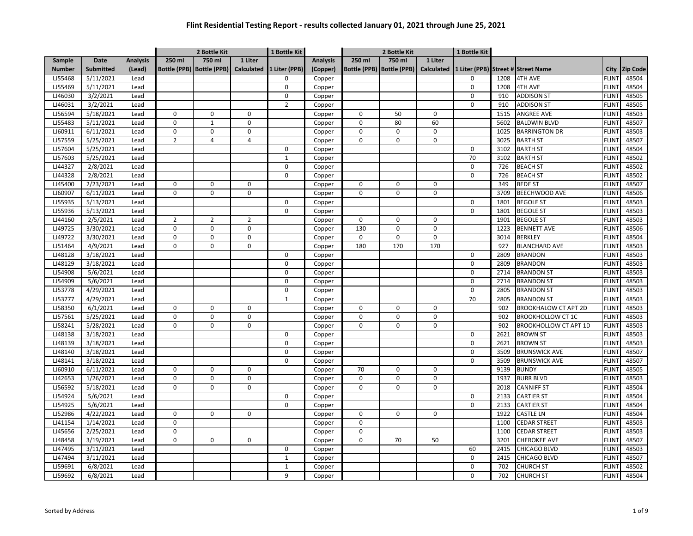|               |                  |                 |                | 2 Bottle Kit                |                   | 1 Bottle Kit   |                 |                     | 2 Bottle Kit        |                   | 1 Bottle Kit |      |                                    |              |                 |
|---------------|------------------|-----------------|----------------|-----------------------------|-------------------|----------------|-----------------|---------------------|---------------------|-------------------|--------------|------|------------------------------------|--------------|-----------------|
| Sample        | <b>Date</b>      | <b>Analysis</b> | 250 ml         | 750 ml                      | 1 Liter           |                | <b>Analysis</b> | 250 ml              | 750 ml              | 1 Liter           |              |      |                                    |              |                 |
| <b>Number</b> | <b>Submitted</b> | (Lead)          |                | Bottle (PPB)   Bottle (PPB) | <b>Calculated</b> | 1 Liter (PPB)  | (Copper)        | <b>Bottle (PPB)</b> | <b>Bottle (PPB)</b> | <b>Calculated</b> |              |      | 1 Liter (PPB) Street # Street Name | City         | <b>Zip Code</b> |
| LJ55468       | 5/11/2021        | Lead            |                |                             |                   | $\mathbf 0$    | Copper          |                     |                     |                   | 0            | 1208 | <b>4TH AVE</b>                     | <b>FLINT</b> | 48504           |
| LJ55469       | 5/11/2021        | Lead            |                |                             |                   | $\mathbf 0$    | Copper          |                     |                     |                   | 0            | 1208 | <b>4TH AVE</b>                     | <b>FLINT</b> | 48504           |
| LJ46030       | 3/2/2021         | Lead            |                |                             |                   | $\mathbf 0$    | Copper          |                     |                     |                   | 0            | 910  | <b>ADDISON ST</b>                  | <b>FLINT</b> | 48505           |
| LJ46031       | 3/2/2021         | Lead            |                |                             |                   | $\overline{2}$ | Copper          |                     |                     |                   | 0            | 910  | <b>ADDISON ST</b>                  | <b>FLINT</b> | 48505           |
| LJ56594       | 5/18/2021        | Lead            | 0              | $\Omega$                    | $\Omega$          |                | Copper          | $\mathbf 0$         | 50                  | $\mathbf 0$       |              | 1515 | <b>ANGREE AVE</b>                  | <b>FLINT</b> | 48503           |
| LJ55483       | 5/11/2021        | Lead            | $\pmb{0}$      | $\mathbf 1$                 | $\mathbf 0$       |                | Copper          | $\mathbf 0$         | 80                  | 60                |              | 5602 | <b>BALDWIN BLVD</b>                | <b>FLINT</b> | 48507           |
| LJ60911       | 6/11/2021        | Lead            | 0              | 0                           | $\mathbf 0$       |                | Copper          | $\mathbf 0$         | $\Omega$            | $\mathbf 0$       |              | 1025 | <b>BARRINGTON DR</b>               | <b>FLINT</b> | 48503           |
| LJ57559       | 5/25/2021        | Lead            | $\overline{2}$ | $\overline{4}$              | $\overline{4}$    |                | Copper          | $\Omega$            | 0                   | $\mathbf 0$       |              | 3025 | <b>BARTH ST</b>                    | <b>FLINT</b> | 48507           |
| LJ57604       | 5/25/2021        | Lead            |                |                             |                   | $\mathbf 0$    | Copper          |                     |                     |                   | 0            | 3102 | <b>BARTH ST</b>                    | <b>FLINT</b> | 48504           |
| LJ57603       | 5/25/2021        | Lead            |                |                             |                   | $\mathbf{1}$   | Copper          |                     |                     |                   | 70           | 3102 | <b>BARTH ST</b>                    | <b>FLINT</b> | 48502           |
| LJ44327       | 2/8/2021         | Lead            |                |                             |                   | 0              | Copper          |                     |                     |                   | 0            | 726  | <b>BEACH ST</b>                    | <b>FLINT</b> | 48502           |
| LJ44328       | 2/8/2021         | Lead            |                |                             |                   | $\mathbf 0$    | Copper          |                     |                     |                   | 0            | 726  | <b>BEACH ST</b>                    | <b>FLINT</b> | 48502           |
| LJ45400       | 2/23/2021        | Lead            | 0              | 0                           | $\mathbf 0$       |                | Copper          | $\mathbf 0$         | 0                   | $\mathbf 0$       |              | 349  | <b>BEDE ST</b>                     | <b>FLINT</b> | 48507           |
| LJ60907       | 6/11/2021        | Lead            | 0              | $\Omega$                    | 0                 |                | Copper          | $\Omega$            | $\Omega$            | $\mathbf 0$       |              | 3709 | <b>BEECHWOOD AVE</b>               | <b>FLINT</b> | 48506           |
| LJ55935       | 5/13/2021        | Lead            |                |                             |                   | 0              | Copper          |                     |                     |                   | 0            | 1801 | <b>BEGOLE ST</b>                   | <b>FLINT</b> | 48503           |
| LJ55936       | 5/13/2021        | Lead            |                |                             |                   | $\mathbf 0$    | Copper          |                     |                     |                   | 0            | 1801 | <b>BEGOLE ST</b>                   | <b>FLINT</b> | 48503           |
| LJ44160       | 2/5/2021         | Lead            | $\overline{2}$ | $\overline{2}$              | $\overline{2}$    |                | Copper          | $\mathbf 0$         | $\Omega$            | $\mathbf 0$       |              | 1901 | <b>BEGOLE ST</b>                   | <b>FLINT</b> | 48503           |
| LJ49725       | 3/30/2021        | Lead            | $\pmb{0}$      | $\mathbf 0$                 | $\mathbf 0$       |                | Copper          | 130                 | 0                   | $\mathsf 0$       |              | 1223 | <b>BENNETT AVE</b>                 | <b>FLINT</b> | 48506           |
| LJ49722       | 3/30/2021        | Lead            | $\mathbf 0$    | $\Omega$                    | $\mathbf 0$       |                | Copper          | $\mathbf 0$         | $\Omega$            | $\mathbf 0$       |              | 3014 | <b>BERKLEY</b>                     | <b>FLINT</b> | 48504           |
| LJ51464       | 4/9/2021         | Lead            | 0              | 0                           | 0                 |                | Copper          | 180                 | 170                 | 170               |              | 927  | <b>BLANCHARD AVE</b>               | <b>FLINT</b> | 48503           |
| LJ48128       | 3/18/2021        | Lead            |                |                             |                   | $\pmb{0}$      | Copper          |                     |                     |                   | 0            | 2809 | <b>BRANDON</b>                     | <b>FLINT</b> | 48503           |
| LJ48129       | 3/18/2021        | Lead            |                |                             |                   | $\mathbf 0$    | Copper          |                     |                     |                   | 0            | 2809 | <b>BRANDON</b>                     | <b>FLINT</b> | 48503           |
| LJ54908       | 5/6/2021         | Lead            |                |                             |                   | $\mathbf 0$    | Copper          |                     |                     |                   | 0            | 2714 | <b>BRANDON ST</b>                  | <b>FLINT</b> | 48503           |
| LJ54909       | 5/6/2021         | Lead            |                |                             |                   | $\mathbf 0$    | Copper          |                     |                     |                   | 0            | 2714 | <b>BRANDON ST</b>                  | <b>FLINT</b> | 48503           |
| LJ53778       | 4/29/2021        | Lead            |                |                             |                   | $\Omega$       | Copper          |                     |                     |                   | $\Omega$     | 2805 | <b>BRANDON ST</b>                  | <b>FLIN</b>  | 48503           |
| LJ53777       | 4/29/2021        | Lead            |                |                             |                   | $\mathbf{1}$   | Copper          |                     |                     |                   | 70           | 2805 | <b>BRANDON ST</b>                  | <b>FLINT</b> | 48503           |
| LJ58350       | 6/1/2021         | Lead            | 0              | 0                           | 0                 |                | Copper          | 0                   | $\Omega$            | $\mathbf 0$       |              | 902  | <b>BROOKHALOW CT APT 2D</b>        | <b>FLINT</b> | 48503           |
| LJ57561       | 5/25/2021        | Lead            | 0              | 0                           | 0                 |                | Copper          | 0                   | $\Omega$            | $\mathbf 0$       |              | 902  | <b>BROOKHOLLOW CT 1C</b>           | <b>FLINT</b> | 48503           |
| LJ58241       | 5/28/2021        | Lead            | 0              | 0                           | 0                 |                | Copper          | 0                   | $\Omega$            | $\mathsf 0$       |              | 902  | BROOKHOLLOW CT APT 1D              | <b>FLINT</b> | 48503           |
| LJ48138       | 3/18/2021        | Lead            |                |                             |                   | 0              | Copper          |                     |                     |                   | 0            | 2621 | <b>BROWN ST</b>                    | <b>FLINT</b> | 48503           |
| LJ48139       | 3/18/2021        | Lead            |                |                             |                   | $\pmb{0}$      | Copper          |                     |                     |                   | 0            | 2621 | <b>BROWN ST</b>                    | <b>FLINT</b> | 48503           |
| LJ48140       | 3/18/2021        | Lead            |                |                             |                   | $\mathbf 0$    | Copper          |                     |                     |                   | 0            | 3509 | <b>BRUNSWICK AVE</b>               | <b>FLINT</b> | 48507           |
| LJ48141       | 3/18/2021        | Lead            |                |                             |                   | 0              | Copper          |                     |                     |                   | 0            | 3509 | <b>BRUNSWICK AVE</b>               | <b>FLINT</b> | 48507           |
| LJ60910       | 6/11/2021        | Lead            | 0              | $\Omega$                    | $\mathbf 0$       |                | Copper          | 70                  | $\Omega$            | $\mathbf 0$       |              | 9139 | <b>BUNDY</b>                       | <b>FLINT</b> | 48505           |
| LJ42653       | 1/26/2021        | Lead            | $\pmb{0}$      | 0                           | 0                 |                | Copper          | $\mathbf 0$         | 0                   | 0                 |              | 1937 | <b>BURR BLVD</b>                   | <b>FLINT</b> | 48503           |
| LJ56592       | 5/18/2021        | Lead            | 0              | 0                           | $\mathbf 0$       |                | Copper          | $\mathbf 0$         | 0                   | $\mathbf 0$       |              | 2018 | <b>CANNIFF ST</b>                  | <b>FLINT</b> | 48504           |
| LJ54924       | 5/6/2021         | Lead            |                |                             |                   | $\mathbf 0$    | Copper          |                     |                     |                   | 0            | 2133 | <b>CARTIER ST</b>                  | <b>FLINT</b> | 48504           |
| LJ54925       | 5/6/2021         | Lead            |                |                             |                   | 0              | Copper          |                     |                     |                   | 0            | 2133 | <b>CARTIER ST</b>                  | <b>FLINT</b> | 48504           |
| LJ52986       | 4/22/2021        | Lead            | $\pmb{0}$      | 0                           | $\mathbf 0$       |                | Copper          | $\mathbf 0$         | 0                   | $\mathbf 0$       |              | 1922 | CASTLE LN                          | <b>FLINT</b> | 48504           |
| LJ41154       | 1/14/2021        | Lead            | $\mathbf 0$    |                             |                   |                | Copper          | $\mathbf 0$         |                     |                   |              | 1100 | <b>CEDAR STREET</b>                | <b>FLINT</b> | 48503           |
| LJ45656       | 2/25/2021        | Lead            | 0              |                             |                   |                | Copper          | $\mathbf 0$         |                     |                   |              | 1100 | <b>CEDAR STREET</b>                | <b>FLINT</b> | 48503           |
| LJ48458       | 3/19/2021        | Lead            | 0              | 0                           | $\mathbf 0$       |                | Copper          | $\Omega$            | 70                  | 50                |              | 3201 | <b>CHEROKEE AVE</b>                | <b>FLIN</b>  | 48507           |
| LJ47495       | 3/11/2021        | Lead            |                |                             |                   | $\pmb{0}$      | Copper          |                     |                     |                   | 60           | 2415 | CHICAGO BLVD                       | <b>FLINT</b> | 48503           |
| LJ47494       | 3/11/2021        | Lead            |                |                             |                   | $\mathbf{1}$   | Copper          |                     |                     |                   | 0            | 2415 | CHICAGO BLVD                       | <b>FLINT</b> | 48507           |
| LJ59691       | 6/8/2021         | Lead            |                |                             |                   | $\mathbf 1$    | Copper          |                     |                     |                   | 0            | 702  | <b>CHURCH ST</b>                   | <b>FLINT</b> | 48502           |
| LJ59692       | 6/8/2021         | Lead            |                |                             |                   | 9              | Copper          |                     |                     |                   | $\Omega$     | 702  | <b>CHURCH ST</b>                   | <b>FLINT</b> | 48504           |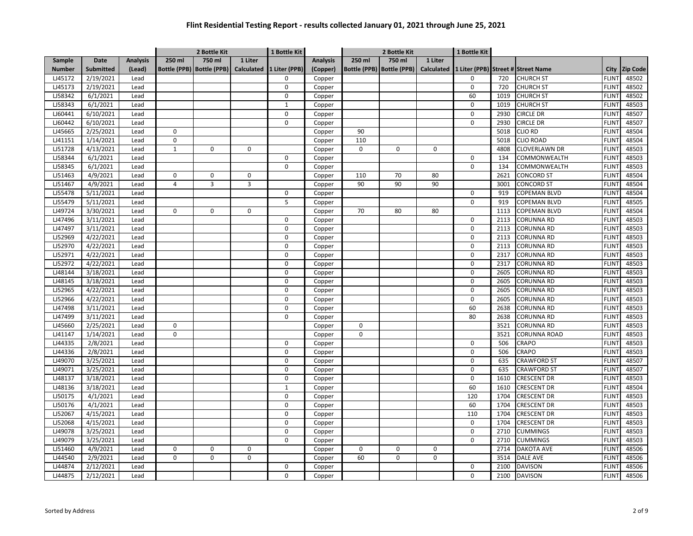|               |                  |                 |                | 2 Bottle Kit                |                   | 1 Bottle Kit  |                 | 2 Bottle Kit |                             | 1 Bottle Kit      |             |      |                                    |              |                 |
|---------------|------------------|-----------------|----------------|-----------------------------|-------------------|---------------|-----------------|--------------|-----------------------------|-------------------|-------------|------|------------------------------------|--------------|-----------------|
| Sample        | Date             | <b>Analysis</b> | 250 ml         | 750 ml                      | 1 Liter           |               | <b>Analysis</b> | 250 ml       | 750 ml                      | 1 Liter           |             |      |                                    |              |                 |
| <b>Number</b> | <b>Submitted</b> | (Lead)          |                | Bottle (PPB)   Bottle (PPB) | <b>Calculated</b> | 1 Liter (PPB) | (Copper)        |              | Bottle (PPB)   Bottle (PPB) | <b>Calculated</b> |             |      | 1 Liter (PPB) Street # Street Name | City         | <b>Zip Code</b> |
| LJ45172       | 2/19/2021        | Lead            |                |                             |                   | $\Omega$      | Copper          |              |                             |                   | 0           | 720  | <b>CHURCH ST</b>                   | <b>FLINT</b> | 48502           |
| LJ45173       | 2/19/2021        | Lead            |                |                             |                   | 0             | Copper          |              |                             |                   | 0           | 720  | <b>CHURCH ST</b>                   | <b>FLINT</b> | 48502           |
| LJ58342       | 6/1/2021         | Lead            |                |                             |                   | $\pmb{0}$     | Copper          |              |                             |                   | 60          | 1019 | <b>CHURCH ST</b>                   | <b>FLINT</b> | 48502           |
| LJ58343       | 6/1/2021         | Lead            |                |                             |                   | $\mathbf{1}$  | Copper          |              |                             |                   | $\Omega$    | 1019 | <b>CHURCH ST</b>                   | <b>FLINT</b> | 48503           |
| LJ60441       | 6/10/2021        | Lead            |                |                             |                   | $\Omega$      | Copper          |              |                             |                   | 0           | 2930 | <b>CIRCLE DR</b>                   | <b>FLINT</b> | 48507           |
| LJ60442       | 6/10/2021        | Lead            |                |                             |                   | $\mathbf 0$   | Copper          |              |                             |                   | 0           | 2930 | CIRCLE DR                          | <b>FLINT</b> | 48507           |
| LJ45665       | 2/25/2021        | Lead            | 0              |                             |                   |               | Copper          | 90           |                             |                   |             | 5018 | <b>CLIO RD</b>                     | <b>FLINT</b> | 48504           |
| LJ41151       | 1/14/2021        | Lead            | 0              |                             |                   |               | Copper          | 110          |                             |                   |             | 5018 | <b>CLIO ROAD</b>                   | <b>FLINT</b> | 48504           |
| LJ51728       | 4/13/2021        | Lead            | $\mathbf{1}$   | $\Omega$                    | $\Omega$          |               | Copper          | $\Omega$     | $\Omega$                    | $\Omega$          |             | 4808 | <b>CLOVERLAWN DR</b>               | <b>FLINT</b> | 48503           |
| LJ58344       | 6/1/2021         | Lead            |                |                             |                   | 0             | Copper          |              |                             |                   | $\mathbf 0$ | 134  | COMMONWEALTH                       | <b>FLINT</b> | 48503           |
| LJ58345       | 6/1/2021         | Lead            |                |                             |                   | 0             | Copper          |              |                             |                   | 0           | 134  | COMMONWEALTH                       | <b>FLINT</b> | 48503           |
| LJ51463       | 4/9/2021         | Lead            | $\mathbf 0$    | 0                           | $\mathbf 0$       |               | Copper          | 110          | 70                          | 80                |             | 2621 | <b>CONCORD ST</b>                  | <b>FLINT</b> | 48504           |
| LJ51467       | 4/9/2021         | Lead            | $\overline{4}$ | 3                           | $\overline{3}$    |               | Copper          | 90           | 90                          | 90                |             | 3001 | CONCORD ST                         | <b>FLINT</b> | 48504           |
| LJ55478       | 5/11/2021        | Lead            |                |                             |                   | 0             | Copper          |              |                             |                   | 0           | 919  | COPEMAN BLVD                       | <b>FLINT</b> | 48504           |
| LJ55479       | 5/11/2021        | Lead            |                |                             |                   | 5             | Copper          |              |                             |                   | 0           | 919  | COPEMAN BLVD                       | <b>FLINT</b> | 48505           |
| LJ49724       | 3/30/2021        | Lead            | $\mathsf 0$    | 0                           | $\mathbf 0$       |               | Copper          | 70           | 80                          | 80                |             | 1113 | <b>COPEMAN BLVD</b>                | <b>FLINT</b> | 48504           |
| LJ47496       | 3/11/2021        | Lead            |                |                             |                   | 0             | Copper          |              |                             |                   | 0           | 2113 | CORUNNA RD                         | <b>FLINT</b> | 48503           |
| LJ47497       | 3/11/2021        | Lead            |                |                             |                   | $\mathbf 0$   | Copper          |              |                             |                   | 0           | 2113 | <b>CORUNNA RD</b>                  | <b>FLINT</b> | 48503           |
| LJ52969       | 4/22/2021        | Lead            |                |                             |                   | $\Omega$      | Copper          |              |                             |                   | 0           | 2113 | <b>CORUNNA RD</b>                  | <b>FLINT</b> | 48503           |
| LJ52970       | 4/22/2021        | Lead            |                |                             |                   | 0             | Copper          |              |                             |                   | 0           | 2113 | <b>CORUNNA RD</b>                  | <b>FLINT</b> | 48503           |
| LJ52971       | 4/22/2021        | Lead            |                |                             |                   | $\mathbf 0$   | Copper          |              |                             |                   | 0           | 2317 | CORUNNA RD                         | <b>FLINT</b> | 48503           |
| LJ52972       | 4/22/2021        | Lead            |                |                             |                   | $\pmb{0}$     | Copper          |              |                             |                   | 0           | 2317 | <b>CORUNNA RD</b>                  | <b>FLINT</b> | 48503           |
| LJ48144       | 3/18/2021        | Lead            |                |                             |                   | $\mathbf 0$   | Copper          |              |                             |                   | 0           | 2605 | CORUNNA RD                         | <b>FLINT</b> | 48503           |
| LJ48145       | 3/18/2021        | Lead            |                |                             |                   | $\Omega$      | Copper          |              |                             |                   | 0           | 2605 | CORUNNA RD                         | <b>FLINT</b> | 48503           |
| LJ52965       | 4/22/2021        | Lead            |                |                             |                   | $\Omega$      | Copper          |              |                             |                   | 0           | 2605 | CORUNNA RD                         | <b>FLINT</b> | 48503           |
| LJ52966       | 4/22/2021        | Lead            |                |                             |                   | $\Omega$      | Copper          |              |                             |                   | $\Omega$    | 2605 | CORUNNA RD                         | <b>FLINT</b> | 48503           |
| LJ47498       | 3/11/2021        | Lead            |                |                             |                   | $\Omega$      | Copper          |              |                             |                   | 60          | 2638 | CORUNNA RD                         | <b>FLINT</b> | 48503           |
| LJ47499       | 3/11/2021        | Lead            |                |                             |                   | 0             | Copper          |              |                             |                   | 80          | 2638 | <b>CORUNNA RD</b>                  | <b>FLINT</b> | 48503           |
| LJ45660       | 2/25/2021        | Lead            | $\mathbf 0$    |                             |                   |               | Copper          | $\mathbf 0$  |                             |                   |             | 3521 | <b>CORUNNA RD</b>                  | <b>FLINT</b> | 48503           |
| LJ41147       | 1/14/2021        | Lead            | 0              |                             |                   |               | Copper          | 0            |                             |                   |             | 3521 | <b>CORUNNA ROAD</b>                | <b>FLINT</b> | 48503           |
| LJ44335       | 2/8/2021         | Lead            |                |                             |                   | 0             | Copper          |              |                             |                   | 0           | 506  | CRAPO                              | <b>FLINT</b> | 48503           |
| LJ44336       | 2/8/2021         | Lead            |                |                             |                   | 0             | Copper          |              |                             |                   | 0           | 506  | <b>CRAPO</b>                       | <b>FLINT</b> | 48503           |
| LJ49070       | 3/25/2021        | Lead            |                |                             |                   | 0             | Copper          |              |                             |                   | 0           | 635  | <b>CRAWFORD ST</b>                 | <b>FLINT</b> | 48507           |
| LJ49071       | 3/25/2021        | Lead            |                |                             |                   | 0             | Copper          |              |                             |                   | 0           | 635  | <b>CRAWFORD ST</b>                 | <b>FLINT</b> | 48507           |
| LJ48137       | 3/18/2021        | Lead            |                |                             |                   | 0             | Copper          |              |                             |                   | 0           | 1610 | <b>CRESCENT DR</b>                 | <b>FLINT</b> | 48503           |
| LJ48136       | 3/18/2021        | Lead            |                |                             |                   | $\mathbf{1}$  | Copper          |              |                             |                   | 60          | 1610 | CRESCENT DR                        | <b>FLINT</b> | 48504           |
| LJ50175       | 4/1/2021         | Lead            |                |                             |                   | 0             | Copper          |              |                             |                   | 120         | 1704 | <b>CRESCENT DR</b>                 | <b>FLINT</b> | 48503           |
| LJ50176       | 4/1/2021         | Lead            |                |                             |                   | $\mathbf 0$   | Copper          |              |                             |                   | 60          | 1704 | <b>CRESCENT DR</b>                 | <b>FLINT</b> | 48503           |
| LJ52067       | 4/15/2021        | Lead            |                |                             |                   | $\Omega$      | Copper          |              |                             |                   | 110         | 1704 | <b>CRESCENT DR</b>                 | <b>FLINT</b> | 48503           |
| LJ52068       | 4/15/2021        | Lead            |                |                             |                   | $\mathbf 0$   | Copper          |              |                             |                   | 0           | 1704 | CRESCENT DR                        | <b>FLINT</b> | 48503           |
| LJ49078       | 3/25/2021        | Lead            |                |                             |                   | $\mathbf 0$   | Copper          |              |                             |                   | 0           | 2710 | <b>CUMMINGS</b>                    | <b>FLINT</b> | 48503           |
| LJ49079       | 3/25/2021        | Lead            |                |                             |                   | $\Omega$      | Copper          |              |                             |                   | 0           | 2710 | <b>CUMMINGS</b>                    | <b>FLINT</b> | 48503           |
| LJ51460       | 4/9/2021         | Lead            | 0              | $\mathbf 0$                 | 0                 |               | Copper          | 0            | $\Omega$                    | 0                 |             | 2714 | <b>DAKOTA AVE</b>                  | <b>FLINT</b> | 48506           |
| LJ44540       | 2/9/2021         | Lead            | 0              | $\mathbf 0$                 | 0                 |               | Copper          | 60           | 0                           | $\mathbf 0$       |             | 3514 | DALE AVE                           | <b>FLINT</b> | 48506           |
| LJ44874       | 2/12/2021        | Lead            |                |                             |                   | $\Omega$      | Copper          |              |                             |                   | $\Omega$    | 2100 | <b>DAVISON</b>                     | <b>FLINT</b> | 48506           |
| LJ44875       | 2/12/2021        | Lead            |                |                             |                   | $\Omega$      | Copper          |              |                             |                   | $\Omega$    | 2100 | <b>DAVISON</b>                     | <b>FLINT</b> | 48506           |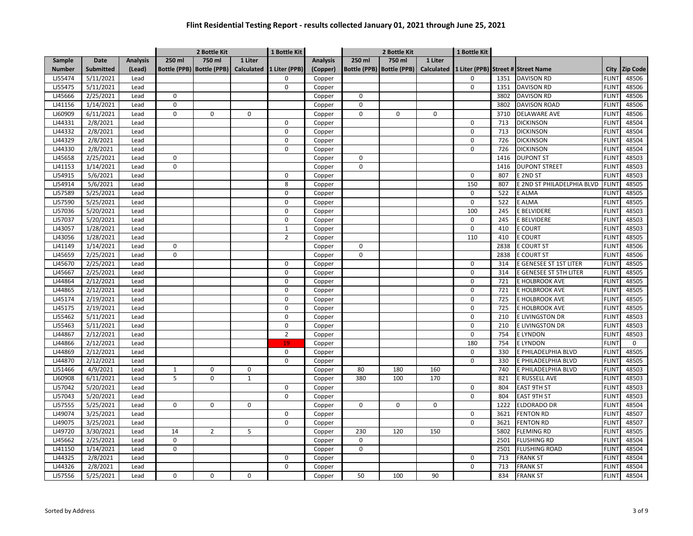|               |                  |                 |              | 2 Bottle Kit                |                   | 1 Bottle Kit   |                 |          | 2 Bottle Kit                |                   | 1 Bottle Kit |      |                                    |              |                 |
|---------------|------------------|-----------------|--------------|-----------------------------|-------------------|----------------|-----------------|----------|-----------------------------|-------------------|--------------|------|------------------------------------|--------------|-----------------|
| Sample        | <b>Date</b>      | <b>Analysis</b> | 250 ml       | 750 ml                      | 1 Liter           |                | <b>Analysis</b> | 250 ml   | 750 ml                      | 1 Liter           |              |      |                                    |              |                 |
| <b>Number</b> | <b>Submitted</b> | (Lead)          |              | Bottle (PPB)   Bottle (PPB) | <b>Calculated</b> | 1 Liter (PPB)  | (Copper)        |          | Bottle (PPB)   Bottle (PPB) | <b>Calculated</b> |              |      | 1 Liter (PPB) Street # Street Name | City         | <b>Zip Code</b> |
| LJ55474       | 5/11/2021        | Lead            |              |                             |                   | $\Omega$       | Copper          |          |                             |                   | 0            | 1351 | <b>DAVISON RD</b>                  | <b>FLINT</b> | 48506           |
| LJ55475       | 5/11/2021        | Lead            |              |                             |                   | $\mathbf 0$    | Copper          |          |                             |                   | 0            | 1351 | <b>DAVISON RD</b>                  | <b>FLINT</b> | 48506           |
| LJ45666       | 2/25/2021        | Lead            | $\mathbf 0$  |                             |                   |                | Copper          | 0        |                             |                   |              | 3802 | <b>DAVISON RD</b>                  | <b>FLINT</b> | 48506           |
| LJ41156       | 1/14/2021        | Lead            | $\mathbf 0$  |                             |                   |                | Copper          | $\Omega$ |                             |                   |              | 3802 | <b>DAVISON ROAD</b>                | <b>FLINT</b> | 48506           |
| LJ60909       | 6/11/2021        | Lead            | $\pmb{0}$    | $\Omega$                    | $\mathbf 0$       |                | Copper          | 0        | 0                           | $\mathbf 0$       |              | 3710 | <b>DELAWARE AVE</b>                | <b>FLINT</b> | 48506           |
| LJ44331       | 2/8/2021         | Lead            |              |                             |                   | 0              | Copper          |          |                             |                   | 0            | 713  | <b>DICKINSON</b>                   | <b>FLINT</b> | 48504           |
| LJ44332       | 2/8/2021         | Lead            |              |                             |                   | $\mathbf 0$    | Copper          |          |                             |                   | O            | 713  | <b>DICKINSON</b>                   | <b>FLINT</b> | 48504           |
| LJ44329       | 2/8/2021         | Lead            |              |                             |                   | 0              | Copper          |          |                             |                   | 0            | 726  | <b>DICKINSON</b>                   | <b>FLINT</b> | 48504           |
| LJ44330       | 2/8/2021         | Lead            |              |                             |                   | 0              | Copper          |          |                             |                   | 0            | 726  | <b>DICKINSON</b>                   | <b>FLINT</b> | 48504           |
| LJ45658       | 2/25/2021        | Lead            | 0            |                             |                   |                | Copper          | 0        |                             |                   |              | 1416 | <b>DUPONT ST</b>                   | <b>FLINT</b> | 48503           |
| LJ41153       | 1/14/2021        | Lead            | $\mathbf 0$  |                             |                   |                | Copper          | $\Omega$ |                             |                   |              | 1416 | <b>DUPONT STREET</b>               | <b>FLINT</b> | 48503           |
| LJ54915       | 5/6/2021         | Lead            |              |                             |                   | $\mathbf 0$    | Copper          |          |                             |                   | 0            | 807  | E 2ND ST                           | <b>FLINT</b> | 48503           |
| LJ54914       | 5/6/2021         | Lead            |              |                             |                   | 8              | Copper          |          |                             |                   | 150          | 807  | E 2ND ST PHILADELPHIA BLVD         | <b>FLINT</b> | 48505           |
| LJ57589       | 5/25/2021        | Lead            |              |                             |                   | 0              | Copper          |          |                             |                   | 0            | 522  | E ALMA                             | <b>FLINT</b> | 48505           |
| LJ57590       | 5/25/2021        | Lead            |              |                             |                   | 0              | Copper          |          |                             |                   | 0            | 522  | E ALMA                             | <b>FLINT</b> | 48505           |
| LJ57036       | 5/20/2021        | Lead            |              |                             |                   | $\mathbf 0$    | Copper          |          |                             |                   | 100          | 245  | E BELVIDERE                        | <b>FLINT</b> | 48503           |
| LJ57037       | 5/20/2021        | Lead            |              |                             |                   | 0              | Copper          |          |                             |                   | 0            | 245  | E BELVIDERE                        | <b>FLINT</b> | 48503           |
| LJ43057       | 1/28/2021        | Lead            |              |                             |                   | $\mathbf{1}$   | Copper          |          |                             |                   | 0            | 410  | <b>E COURT</b>                     | <b>FLINT</b> | 48503           |
| LJ43056       | 1/28/2021        | Lead            |              |                             |                   | $\overline{2}$ | Copper          |          |                             |                   | 110          | 410  | <b>E COURT</b>                     | <b>FLINT</b> | 48505           |
| LJ41149       | 1/14/2021        | Lead            | $\pmb{0}$    |                             |                   |                | Copper          | 0        |                             |                   |              | 2838 | <b>E COURT ST</b>                  | <b>FLINT</b> | 48506           |
| LJ45659       | 2/25/2021        | Lead            | $\mathbf 0$  |                             |                   |                | Copper          | $\Omega$ |                             |                   |              | 2838 | <b>E COURT ST</b>                  | <b>FLINT</b> | 48506           |
| LJ45670       | 2/25/2021        | Lead            |              |                             |                   | $\Omega$       | Copper          |          |                             |                   | 0            | 314  | E GENESEE ST 1ST LITER             | <b>FLINT</b> | 48505           |
| LJ45667       | 2/25/2021        | Lead            |              |                             |                   | $\Omega$       | Copper          |          |                             |                   | 0            | 314  | E GENESEE ST 5TH LITER             | <b>FLINT</b> | 48505           |
| LJ44864       | 2/12/2021        | Lead            |              |                             |                   | $\Omega$       | Copper          |          |                             |                   | $\Omega$     | 721  | E HOLBROOK AVE                     | <b>FLINT</b> | 48505           |
| LJ44865       | 2/12/2021        | Lead            |              |                             |                   | $\mathbf 0$    | Copper          |          |                             |                   | 0            | 721  | E HOLBROOK AVE                     | <b>FLINT</b> | 48505           |
| LJ45174       | 2/19/2021        | Lead            |              |                             |                   | 0              | Copper          |          |                             |                   | 0            | 725  | E HOLBROOK AVE                     | <b>FLINT</b> | 48505           |
| LJ45175       | 2/19/2021        | Lead            |              |                             |                   | 0              | Copper          |          |                             |                   | $\mathbf 0$  | 725  | E HOLBROOK AVE                     | <b>FLINT</b> | 48505           |
| LJ55462       | 5/11/2021        | Lead            |              |                             |                   | 0              | Copper          |          |                             |                   | 0            | 210  | E LIVINGSTON DR                    | <b>FLINT</b> | 48503           |
| LJ55463       | 5/11/2021        | Lead            |              |                             |                   | $\pmb{0}$      | Copper          |          |                             |                   | $\mathbf 0$  | 210  | E LIVINGSTON DR                    | <b>FLINT</b> | 48503           |
| LJ44867       | 2/12/2021        | Lead            |              |                             |                   | $\overline{2}$ | Copper          |          |                             |                   | 0            | 754  | <b>ELYNDON</b>                     | <b>FLINT</b> | 48503           |
| LJ44866       | 2/12/2021        | Lead            |              |                             |                   | 19             | Copper          |          |                             |                   | 180          | 754  | <b>ELYNDON</b>                     | <b>FLINT</b> | 0               |
| LJ44869       | 2/12/2021        | Lead            |              |                             |                   | $\mathbf 0$    | Copper          |          |                             |                   | 0            | 330  | E PHILADELPHIA BLVD                | <b>FLINT</b> | 48505           |
| LJ44870       | 2/12/2021        | Lead            |              |                             |                   | 0              | Copper          |          |                             |                   | 0            | 330  | E PHILADELPHIA BLVD                | <b>FLINT</b> | 48505           |
| LJ51466       | 4/9/2021         | Lead            | $\mathbf{1}$ | 0                           | $\mathbf 0$       |                | Copper          | 80       | 180                         | 160               |              | 740  | E PHILADELPHIA BLVD                | <b>FLINT</b> | 48503           |
| LJ60908       | 6/11/2021        | Lead            | 5            | 0                           | $\mathbf{1}$      |                | Copper          | 380      | 100                         | 170               |              | 821  | E RUSSELL AVE                      | <b>FLINT</b> | 48503           |
| LJ57042       | 5/20/2021        | Lead            |              |                             |                   | 0              | Copper          |          |                             |                   | 0            | 804  | <b>EAST 9TH ST</b>                 | <b>FLINT</b> | 48503           |
| LJ57043       | 5/20/2021        | Lead            |              |                             |                   | $\mathbf 0$    | Copper          |          |                             |                   | 0            | 804  | <b>EAST 9TH ST</b>                 | <b>FLINT</b> | 48503           |
| LJ57555       | 5/25/2021        | Lead            | $\mathbf 0$  | 0                           | 0                 |                | Copper          | 0        | 0                           | $\mathbf 0$       |              | 1222 | <b>ELDORADO DR</b>                 | <b>FLINT</b> | 48504           |
| LJ49074       | 3/25/2021        | Lead            |              |                             |                   | 0              | Copper          |          |                             |                   | 0            | 3621 | <b>FENTON RD</b>                   | <b>FLINT</b> | 48507           |
| LJ49075       | 3/25/2021        | Lead            |              |                             |                   | 0              | Copper          |          |                             |                   | 0            | 3621 | <b>FENTON RD</b>                   | <b>FLINT</b> | 48507           |
| LJ49720       | 3/30/2021        | Lead            | 14           | $\overline{2}$              | 5                 |                | Copper          | 230      | 120                         | 150               |              | 5802 | <b>FLEMING RD</b>                  | <b>FLINT</b> | 48505           |
| LJ45662       | 2/25/2021        | Lead            | $\mathbf 0$  |                             |                   |                | Copper          | 0        |                             |                   |              | 2501 | <b>FLUSHING RD</b>                 | <b>FLINT</b> | 48504           |
| LJ41150       | 1/14/2021        | Lead            | $\mathbf 0$  |                             |                   |                | Copper          | 0        |                             |                   |              | 2501 | <b>FLUSHING ROAD</b>               | <b>FLINT</b> | 48504           |
| LJ44325       | 2/8/2021         | Lead            |              |                             |                   | $\mathbf 0$    | Copper          |          |                             |                   | 0            | 713  | <b>FRANK ST</b>                    | <b>FLINT</b> | 48504           |
| LJ44326       | 2/8/2021         | Lead            |              |                             |                   | $\Omega$       | Copper          |          |                             |                   | $\Omega$     | 713  | <b>FRANK ST</b>                    | <b>FLINT</b> | 48504           |
| LJ57556       | 5/25/2021        | Lead            | 0            | 0                           | 0                 |                | Copper          | 50       | 100                         | 90                |              | 834  | <b>FRANK ST</b>                    | <b>FLINT</b> | 48504           |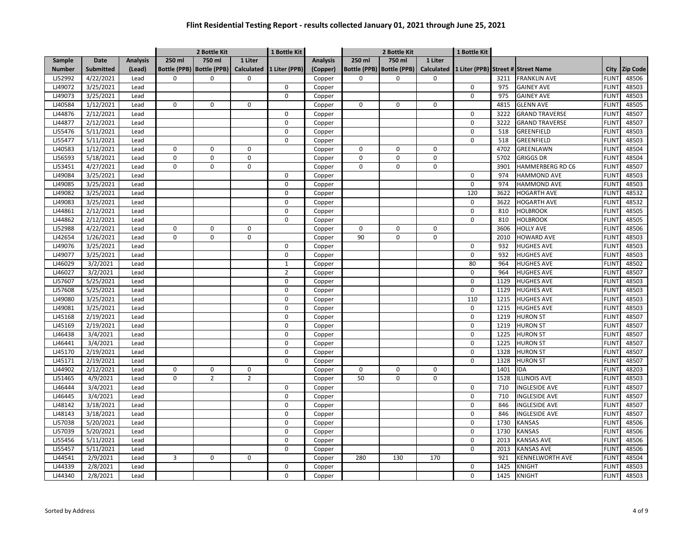|               |                  |                 |             | 2 Bottle Kit                |                | 1 Bottle Kit   |                 |             | 2 Bottle Kit                |                   | 1 Bottle Kit |      |                                    |                   |                 |
|---------------|------------------|-----------------|-------------|-----------------------------|----------------|----------------|-----------------|-------------|-----------------------------|-------------------|--------------|------|------------------------------------|-------------------|-----------------|
| <b>Sample</b> | <b>Date</b>      | <b>Analysis</b> | 250 ml      | 750 ml                      | 1 Liter        |                | <b>Analysis</b> | 250 ml      | 750 ml                      | 1 Liter           |              |      |                                    |                   |                 |
| <b>Number</b> | <b>Submitted</b> | (Lead)          |             | Bottle (PPB)   Bottle (PPB) | Calculated     | 1 Liter (PPB)  | (Copper)        |             | Bottle (PPB)   Bottle (PPB) | <b>Calculated</b> |              |      | 1 Liter (PPB) Street # Street Name | City              | <b>Zip Code</b> |
| LJ52992       | 4/22/2021        | Lead            | $\Omega$    | $\Omega$                    | $\Omega$       |                | Copper          | $\Omega$    | $\Omega$                    | 0                 |              | 3211 | <b>FRANKLIN AVE</b>                | <b>FLINT</b>      | 48506           |
| LJ49072       | 3/25/2021        | Lead            |             |                             |                | $\mathbf 0$    | Copper          |             |                             |                   | 0            | 975  | <b>GAINEY AVE</b>                  | <b>FLINT</b>      | 48503           |
| LJ49073       | 3/25/2021        | Lead            |             |                             |                | $\mathbf 0$    | Copper          |             |                             |                   | 0            | 975  | <b>GAINEY AVE</b>                  | <b>FLINT</b>      | 48503           |
| LJ40584       | 1/12/2021        | Lead            | 0           | 0                           | $\mathbf 0$    |                | Copper          | $\mathbf 0$ | 0                           | $\mathbf 0$       |              | 4815 | <b>GLENN AVE</b>                   | <b>FLINT</b>      | 48505           |
| LJ44876       | 2/12/2021        | Lead            |             |                             |                | $\Omega$       | Copper          |             |                             |                   | 0            | 3222 | <b>GRAND TRAVERSE</b>              | FLIN <sup>-</sup> | 48507           |
| LJ44877       | 2/12/2021        | Lead            |             |                             |                | $\mathbf 0$    | Copper          |             |                             |                   | 0            | 3222 | <b>GRAND TRAVERSE</b>              | <b>FLINT</b>      | 48507           |
| LJ55476       | 5/11/2021        | Lead            |             |                             |                | $\mathbf 0$    | Copper          |             |                             |                   | 0            | 518  | GREENFIELD                         | <b>FLINT</b>      | 48503           |
| LJ55477       | 5/11/2021        | Lead            |             |                             |                | $\Omega$       | Copper          |             |                             |                   | 0            | 518  | GREENFIELD                         | <b>FLINT</b>      | 48503           |
| LJ40583       | 1/12/2021        | Lead            | 0           | 0                           | $\mathbf 0$    |                | Copper          | $\mathbf 0$ | $\Omega$                    | $\mathbf 0$       |              | 4702 | GREENLAWN                          | <b>FLINT</b>      | 48504           |
| LJ56593       | 5/18/2021        | Lead            | $\pmb{0}$   | 0                           | 0              |                | Copper          | $\mathbf 0$ | 0                           | $\mathbf 0$       |              | 5702 | <b>GRIGGS DR</b>                   | <b>FLINT</b>      | 48504           |
| LJ53451       | 4/27/2021        | Lead            | 0           | $\Omega$                    | $\mathbf 0$    |                | Copper          | $\Omega$    | $\Omega$                    | $\mathbf 0$       |              | 3901 | HAMMERBERG RD C6                   | <b>FLINT</b>      | 48507           |
| LJ49084       | 3/25/2021        | Lead            |             |                             |                | 0              | Copper          |             |                             |                   | 0            | 974  | <b>HAMMOND AVE</b>                 | <b>FLINT</b>      | 48503           |
| LJ49085       | 3/25/2021        | Lead            |             |                             |                | 0              | Copper          |             |                             |                   | 0            | 974  | <b>HAMMOND AVE</b>                 | <b>FLINT</b>      | 48503           |
| LJ49082       | 3/25/2021        | Lead            |             |                             |                | $\mathbf 0$    | Copper          |             |                             |                   | 120          | 3622 | <b>HOGARTH AVE</b>                 | <b>FLINT</b>      | 48532           |
| LJ49083       | 3/25/2021        | Lead            |             |                             |                | $\mathbf 0$    | Copper          |             |                             |                   | 0            | 3622 | <b>HOGARTH AVE</b>                 | <b>FLINT</b>      | 48532           |
| LJ44861       | 2/12/2021        | Lead            |             |                             |                | $\mathbf 0$    | Copper          |             |                             |                   | 0            | 810  | <b>HOLBROOK</b>                    | <b>FLINT</b>      | 48505           |
| LJ44862       | 2/12/2021        | Lead            |             |                             |                | $\mathbf 0$    | Copper          |             |                             |                   | 0            | 810  | <b>HOLBROOK</b>                    | <b>FLINT</b>      | 48505           |
| LJ52988       | 4/22/2021        | Lead            | $\pmb{0}$   | 0                           | $\mathbf 0$    |                | Copper          | 0           | 0                           | 0                 |              | 3606 | <b>HOLLY AVE</b>                   | <b>FLINT</b>      | 48506           |
| LJ42654       | 1/26/2021        | Lead            | $\Omega$    | $\Omega$                    | $\Omega$       |                | Copper          | 90          | $\Omega$                    | $\Omega$          |              | 2010 | <b>HOWARD AVE</b>                  | <b>FLINT</b>      | 48503           |
| LJ49076       | 3/25/2021        | Lead            |             |                             |                | 0              | Copper          |             |                             |                   | 0            | 932  | <b>HUGHES AVE</b>                  | <b>FLINT</b>      | 48503           |
| LJ49077       | 3/25/2021        | Lead            |             |                             |                | $\pmb{0}$      | Copper          |             |                             |                   | $\Omega$     | 932  | <b>HUGHES AVE</b>                  | <b>FLINT</b>      | 48503           |
| LJ46029       | 3/2/2021         | Lead            |             |                             |                | $\mathbf{1}$   | Copper          |             |                             |                   | 80           | 964  | <b>HUGHES AVE</b>                  | <b>FLINT</b>      | 48502           |
| LJ46027       | 3/2/2021         | Lead            |             |                             |                | $\overline{2}$ | Copper          |             |                             |                   | 0            | 964  | <b>HUGHES AVE</b>                  | <b>FLINT</b>      | 48507           |
| LJ57607       | 5/25/2021        | Lead            |             |                             |                | $\mathbf 0$    | Copper          |             |                             |                   | 0            | 1129 | <b>HUGHES AVE</b>                  | <b>FLINT</b>      | 48503           |
| LJ57608       | 5/25/2021        | Lead            |             |                             |                | $\Omega$       | Copper          |             |                             |                   | $\Omega$     | 1129 | <b>HUGHES AVE</b>                  | <b>FLINT</b>      | 48503           |
| LJ49080       | 3/25/2021        | Lead            |             |                             |                | $\Omega$       | Copper          |             |                             |                   | 110          | 1215 | <b>HUGHES AVE</b>                  | <b>FLINT</b>      | 48503           |
| LJ49081       | 3/25/2021        | Lead            |             |                             |                | $\mathbf 0$    | Copper          |             |                             |                   | 0            | 1215 | <b>HUGHES AVE</b>                  | <b>FLINT</b>      | 48503           |
| LJ45168       | 2/19/2021        | Lead            |             |                             |                | $\Omega$       | Copper          |             |                             |                   | 0            | 1219 | <b>HURON ST</b>                    | <b>FLINT</b>      | 48507           |
| LJ45169       | 2/19/2021        | Lead            |             |                             |                | $\Omega$       | Copper          |             |                             |                   | 0            | 1219 | <b>HURON ST</b>                    | <b>FLINT</b>      | 48507           |
| LJ46438       | 3/4/2021         | Lead            |             |                             |                | $\mathbf 0$    | Copper          |             |                             |                   | 0            | 1225 | <b>HURON ST</b>                    | <b>FLINT</b>      | 48507           |
| LJ46441       | 3/4/2021         | Lead            |             |                             |                | $\pmb{0}$      | Copper          |             |                             |                   | 0            | 1225 | <b>HURON ST</b>                    | <b>FLINT</b>      | 48507           |
| LJ45170       | 2/19/2021        | Lead            |             |                             |                | $\mathbf 0$    | Copper          |             |                             |                   | 0            | 1328 | <b>HURON ST</b>                    | <b>FLINT</b>      | 48507           |
| LJ45171       | 2/19/2021        | Lead            |             |                             |                | 0              | Copper          |             |                             |                   | 0            | 1328 | <b>HURON ST</b>                    | <b>FLINT</b>      | 48507           |
| LJ44902       | 2/12/2021        | Lead            | 0           | 0                           | $\mathbf 0$    |                | Copper          | $\mathbf 0$ | $\Omega$                    | $\mathbf 0$       |              | 1401 | IDA                                | <b>FLINT</b>      | 48203           |
| LJ51465       | 4/9/2021         | Lead            | $\mathbf 0$ | $\overline{2}$              | $\overline{2}$ |                | Copper          | 50          | 0                           | $\mathbf 0$       |              | 1528 | <b>ILLINOIS AVE</b>                | <b>FLINT</b>      | 48503           |
| LJ46444       | 3/4/2021         | Lead            |             |                             |                | 0              | Copper          |             |                             |                   | 0            | 710  | <b>INGLESIDE AVE</b>               | <b>FLINT</b>      | 48507           |
| LJ46445       | 3/4/2021         | Lead            |             |                             |                | $\mathbf 0$    | Copper          |             |                             |                   | 0            | 710  | <b>INGLESIDE AVE</b>               | <b>FLINT</b>      | 48507           |
| LJ48142       | 3/18/2021        | Lead            |             |                             |                | $\mathbf 0$    | Copper          |             |                             |                   | 0            | 846  | <b>INGLESIDE AVE</b>               | <b>FLINT</b>      | 48507           |
| LJ48143       | 3/18/2021        | Lead            |             |                             |                | $\Omega$       | Copper          |             |                             |                   | 0            | 846  | <b>INGLESIDE AVE</b>               | <b>FLINT</b>      | 48507           |
| LJ57038       | 5/20/2021        | Lead            |             |                             |                | $\mathbf 0$    | Copper          |             |                             |                   | 0            | 1730 | <b>KANSAS</b>                      | <b>FLINT</b>      | 48506           |
| LJ57039       | 5/20/2021        | Lead            |             |                             |                | $\Omega$       | Copper          |             |                             |                   | 0            | 1730 | <b>KANSAS</b>                      | <b>FLINT</b>      | 48506           |
| LJ55456       | 5/11/2021        | Lead            |             |                             |                | $\mathbf 0$    | Copper          |             |                             |                   | 0            | 2013 | <b>KANSAS AVE</b>                  | <b>FLIN</b>       | 48506           |
| LJ55457       | 5/11/2021        | Lead            |             |                             |                | $\mathbf 0$    | Copper          |             |                             |                   | 0            | 2013 | <b>KANSAS AVE</b>                  | <b>FLINT</b>      | 48506           |
| LJ44541       | 2/9/2021         | Lead            | 3           | $\Omega$                    | $\Omega$       |                | Copper          | 280         | 130                         | 170               |              | 921  | <b>KENNELWORTH AVE</b>             | <b>FLINT</b>      | 48504           |
| LJ44339       | 2/8/2021         | Lead            |             |                             |                | $\mathbf 0$    | Copper          |             |                             |                   | 0            | 1425 | KNIGHT                             | <b>FLINT</b>      | 48503           |
| LJ44340       | 2/8/2021         | Lead            |             |                             |                | $\Omega$       | Copper          |             |                             |                   | 0            | 1425 | <b>KNIGHT</b>                      | <b>FLINT</b>      | 48503           |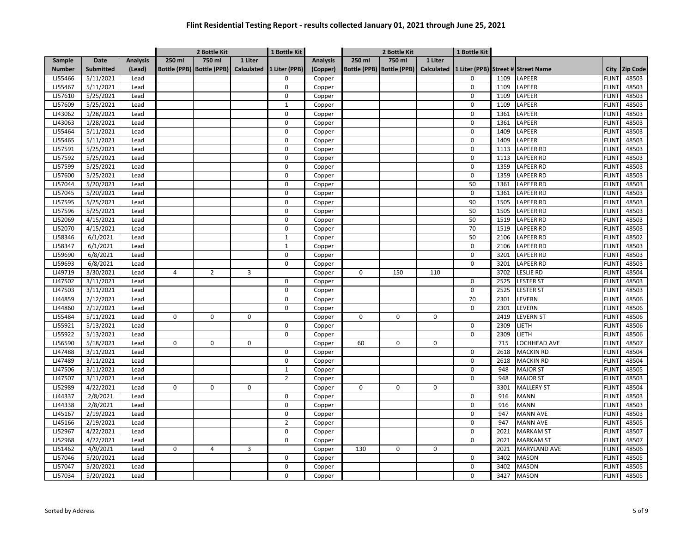|               |                  |                 |             | 2 Bottle Kit                |                   | 1 Bottle Kit   |                 |          | 2 Bottle Kit                |                   | 1 Bottle Kit |      |                                    |              |                 |
|---------------|------------------|-----------------|-------------|-----------------------------|-------------------|----------------|-----------------|----------|-----------------------------|-------------------|--------------|------|------------------------------------|--------------|-----------------|
| Sample        | Date             | <b>Analysis</b> | 250 ml      | 750 ml                      | 1 Liter           |                | <b>Analysis</b> | 250 ml   | 750 ml                      | 1 Liter           |              |      |                                    |              |                 |
| <b>Number</b> | <b>Submitted</b> | (Lead)          |             | Bottle (PPB)   Bottle (PPB) | <b>Calculated</b> | 1 Liter (PPB)  | (Copper)        |          | Bottle (PPB)   Bottle (PPB) | <b>Calculated</b> |              |      | 1 Liter (PPB) Street # Street Name | City         | <b>Zip Code</b> |
| LJ55466       | 5/11/2021        | Lead            |             |                             |                   | $\Omega$       | Copper          |          |                             |                   | 0            | 1109 | LAPEER                             | <b>FLINT</b> | 48503           |
| LJ55467       | 5/11/2021        | Lead            |             |                             |                   | $\mathbf 0$    | Copper          |          |                             |                   | 0            | 1109 | LAPEER                             | <b>FLINT</b> | 48503           |
| LJ57610       | 5/25/2021        | Lead            |             |                             |                   | 0              | Copper          |          |                             |                   | 0            | 1109 | LAPEER                             | <b>FLINT</b> | 48503           |
| LJ57609       | 5/25/2021        | Lead            |             |                             |                   | $\mathbf{1}$   | Copper          |          |                             |                   | 0            | 1109 | LAPEER                             | <b>FLINT</b> | 48503           |
| LJ43062       | 1/28/2021        | Lead            |             |                             |                   | $\Omega$       | Copper          |          |                             |                   | $\Omega$     | 1361 | LAPEER                             | <b>FLINT</b> | 48503           |
| LJ43063       | 1/28/2021        | Lead            |             |                             |                   | $\Omega$       | Copper          |          |                             |                   | 0            | 1361 | LAPEER                             | <b>FLINT</b> | 48503           |
| LJ55464       | 5/11/2021        | Lead            |             |                             |                   | $\Omega$       | Copper          |          |                             |                   | 0            | 1409 | LAPEER                             | <b>FLINT</b> | 48503           |
| LJ55465       | 5/11/2021        | Lead            |             |                             |                   | $\overline{0}$ | Copper          |          |                             |                   | $\Omega$     | 1409 | LAPEER                             | <b>FLINT</b> | 48503           |
| LJ57591       | 5/25/2021        | Lead            |             |                             |                   | 0              | Copper          |          |                             |                   | 0            | 1113 | LAPEER RD                          | <b>FLINT</b> | 48503           |
| LJ57592       | 5/25/2021        | Lead            |             |                             |                   | 0              | Copper          |          |                             |                   | 0            | 1113 | <b>LAPEER RD</b>                   | <b>FLINT</b> | 48503           |
| LJ57599       | 5/25/2021        | Lead            |             |                             |                   | 0              | Copper          |          |                             |                   | 0            | 1359 | LAPEER RD                          | <b>FLINT</b> | 48503           |
| LJ57600       | 5/25/2021        | Lead            |             |                             |                   | 0              | Copper          |          |                             |                   | 0            | 1359 | LAPEER RD                          | <b>FLINT</b> | 48503           |
| LJ57044       | 5/20/2021        | Lead            |             |                             |                   | 0              | Copper          |          |                             |                   | 50           | 1361 | LAPEER RD                          | <b>FLINT</b> | 48503           |
| LJ57045       | 5/20/2021        | Lead            |             |                             |                   | 0              | Copper          |          |                             |                   | 0            | 1361 | LAPEER RD                          | <b>FLINT</b> | 48503           |
| LJ57595       | 5/25/2021        | Lead            |             |                             |                   | 0              | Copper          |          |                             |                   | 90           | 1505 | LAPEER RD                          | <b>FLINT</b> | 48503           |
| LJ57596       | 5/25/2021        | Lead            |             |                             |                   | 0              | Copper          |          |                             |                   | 50           | 1505 | LAPEER RD                          | <b>FLINT</b> | 48503           |
| LJ52069       | 4/15/2021        | Lead            |             |                             |                   | $\overline{0}$ | Copper          |          |                             |                   | 50           | 1519 | LAPEER RD                          | <b>FLINT</b> | 48503           |
| LJ52070       | 4/15/2021        | Lead            |             |                             |                   | $\Omega$       | Copper          |          |                             |                   | 70           | 1519 | <b>LAPEER RD</b>                   | <b>FLINT</b> | 48503           |
| LJ58346       | 6/1/2021         | Lead            |             |                             |                   | $\mathbf{1}$   | Copper          |          |                             |                   | 50           | 2106 | LAPEER RD                          | <b>FLINT</b> | 48502           |
| LJ58347       | 6/1/2021         | Lead            |             |                             |                   | $\mathbf{1}$   | Copper          |          |                             |                   | 0            | 2106 | LAPEER RD                          | <b>FLINT</b> | 48503           |
| LJ59690       | 6/8/2021         | Lead            |             |                             |                   | $\mathbf 0$    | Copper          |          |                             |                   | $\mathbf 0$  | 3201 | LAPEER RD                          | <b>FLINT</b> | 48503           |
| LJ59693       | 6/8/2021         | Lead            |             |                             |                   | $\mathbf 0$    | Copper          |          |                             |                   | 0            | 3201 | LAPEER RD                          | <b>FLINT</b> | 48503           |
| LJ49719       | 3/30/2021        | Lead            | 4           | $\overline{2}$              | 3                 |                | Copper          | $\Omega$ | 150                         | 110               |              | 3702 | Leslie RD                          | <b>FLINT</b> | 48504           |
| LJ47502       | 3/11/2021        | Lead            |             |                             |                   | $\Omega$       | Copper          |          |                             |                   | 0            | 2525 | <b>LESTER ST</b>                   | <b>FLINT</b> | 48503           |
| LJ47503       | 3/11/2021        | Lead            |             |                             |                   | $\mathbf 0$    | Copper          |          |                             |                   | $\Omega$     | 2525 | <b>LESTER ST</b>                   | <b>FLINT</b> | 48503           |
| LJ44859       | 2/12/2021        | Lead            |             |                             |                   | $\Omega$       | Copper          |          |                             |                   | 70           | 2301 | LEVERN                             | <b>FLINT</b> | 48506           |
| LJ44860       | 2/12/2021        | Lead            |             |                             |                   | 0              | Copper          |          |                             |                   | 0            | 2301 | LEVERN                             | <b>FLINT</b> | 48506           |
| LJ55484       | 5/11/2021        | Lead            | 0           | 0                           | 0                 |                | Copper          | 0        | 0                           | 0                 |              | 2419 | <b>LEVERN ST</b>                   | <b>FLINT</b> | 48506           |
| LJ55921       | 5/13/2021        | Lead            |             |                             |                   | $\mathbf 0$    | Copper          |          |                             |                   | 0            | 2309 | LIETH                              | <b>FLINT</b> | 48506           |
| LJ55922       | 5/13/2021        | Lead            |             |                             |                   | $\mathbf 0$    | Copper          |          |                             |                   | $\mathbf 0$  | 2309 | LIETH                              | <b>FLINT</b> | 48506           |
| LJ56590       | 5/18/2021        | Lead            | $\mathbf 0$ | $\Omega$                    | $\mathbf 0$       |                | Copper          | 60       | 0                           | 0                 |              | 715  | OCHHEAD AVE                        | <b>FLINT</b> | 48507           |
| LJ47488       | 3/11/2021        | Lead            |             |                             |                   | 0              | Copper          |          |                             |                   | 0            | 2618 | <b>MACKIN RD</b>                   | <b>FLINT</b> | 48504           |
| LJ47489       | 3/11/2021        | Lead            |             |                             |                   | 0              | Copper          |          |                             |                   | $\mathbf 0$  | 2618 | MACKIN RD                          | <b>FLINT</b> | 48504           |
| LJ47506       | 3/11/2021        | Lead            |             |                             |                   | $\mathbf 1$    | Copper          |          |                             |                   | $\mathbf 0$  | 948  | <b>MAJOR ST</b>                    | <b>FLINT</b> | 48505           |
| LJ47507       | 3/11/2021        | Lead            |             |                             |                   | $\overline{2}$ | Copper          |          |                             |                   | 0            | 948  | <b>MAJOR ST</b>                    | <b>FLINT</b> | 48503           |
| LJ52989       | 4/22/2021        | Lead            | 0           | 0                           | $\mathbf 0$       |                | Copper          | 0        | 0                           | 0                 |              | 3301 | <b>MALLERY ST</b>                  | <b>FLINT</b> | 48504           |
| LJ44337       | 2/8/2021         | Lead            |             |                             |                   | 0              | Copper          |          |                             |                   | 0            | 916  | <b>MANN</b>                        | <b>FLINT</b> | 48503           |
| LJ44338       | 2/8/2021         | Lead            |             |                             |                   | $\mathbf 0$    | Copper          |          |                             |                   | 0            | 916  | MANN                               | <b>FLINT</b> | 48503           |
| LJ45167       | 2/19/2021        | Lead            |             |                             |                   | $\pmb{0}$      | Copper          |          |                             |                   | 0            | 947  | <b>MANN AVE</b>                    | <b>FLINT</b> | 48503           |
| LJ45166       | 2/19/2021        | Lead            |             |                             |                   | $\overline{2}$ | Copper          |          |                             |                   | 0            | 947  | <b>MANN AVE</b>                    | <b>FLINT</b> | 48505           |
| LJ52967       | 4/22/2021        | Lead            |             |                             |                   | $\Omega$       | Copper          |          |                             |                   | 0            | 2021 | <b>MARKAM ST</b>                   | <b>FLINT</b> | 48507           |
| LJ52968       | 4/22/2021        | Lead            |             |                             |                   | $\Omega$       | Copper          |          |                             |                   | 0            | 2021 | <b>MARKAM ST</b>                   | <b>FLINT</b> | 48507           |
| LJ51462       | 4/9/2021         | Lead            | 0           | 4                           | 3                 |                | Copper          | 130      | 0                           | 0                 |              | 2021 | <b>MARYLAND AVE</b>                | <b>FLINT</b> | 48506           |
| LJ57046       | 5/20/2021        | Lead            |             |                             |                   | $\overline{0}$ | Copper          |          |                             |                   | 0            | 3402 | <b>MASON</b>                       | <b>FLINT</b> | 48505           |
| LJ57047       | 5/20/2021        | Lead            |             |                             |                   | 0              | Copper          |          |                             |                   | $\Omega$     | 3402 | <b>MASON</b>                       | <b>FLINT</b> | 48505           |
| LJ57034       | 5/20/2021        | Lead            |             |                             |                   | $\mathbf 0$    | Copper          |          |                             |                   | 0            | 3427 | <b>MASON</b>                       | <b>FLINT</b> | 48505           |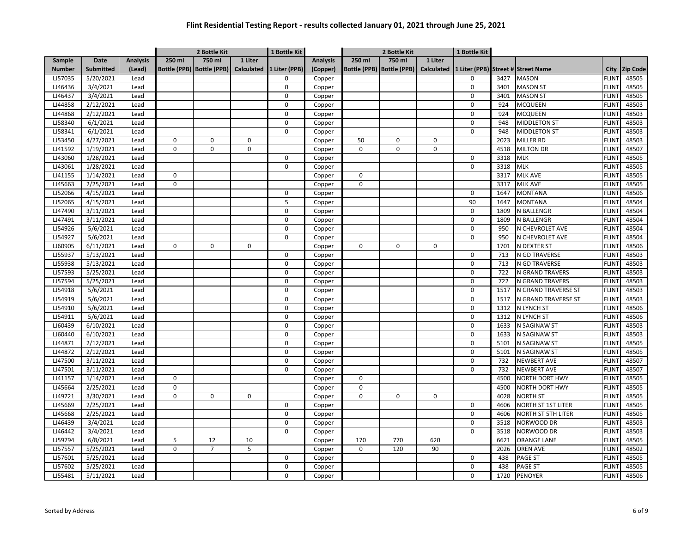|               |                  |                 |             | 2 Bottle Kit                |                   | 1 Bottle Kit  |                 |             | 2 Bottle Kit                |                   | 1 Bottle Kit |      |                                    |              |                 |
|---------------|------------------|-----------------|-------------|-----------------------------|-------------------|---------------|-----------------|-------------|-----------------------------|-------------------|--------------|------|------------------------------------|--------------|-----------------|
| Sample        | Date             | <b>Analysis</b> | 250 ml      | 750 ml                      | 1 Liter           |               | <b>Analysis</b> | 250 ml      | 750 ml                      | 1 Liter           |              |      |                                    |              |                 |
| <b>Number</b> | <b>Submitted</b> | (Lead)          |             | Bottle (PPB)   Bottle (PPB) | <b>Calculated</b> | 1 Liter (PPB) | (Copper)        |             | Bottle (PPB)   Bottle (PPB) | <b>Calculated</b> |              |      | 1 Liter (PPB) Street # Street Name | City         | <b>Zip Code</b> |
| LJ57035       | 5/20/2021        | Lead            |             |                             |                   | $\Omega$      | Copper          |             |                             |                   | 0            | 3427 | <b>MASON</b>                       | <b>FLINT</b> | 48505           |
| LJ46436       | 3/4/2021         | Lead            |             |                             |                   | 0             | Copper          |             |                             |                   | 0            | 3401 | <b>MASON ST</b>                    | <b>FLINT</b> | 48505           |
| LJ46437       | 3/4/2021         | Lead            |             |                             |                   | $\mathbf 0$   | Copper          |             |                             |                   | 0            | 3401 | <b>MASON ST</b>                    | <b>FLINT</b> | 48505           |
| LJ44858       | 2/12/2021        | Lead            |             |                             |                   | $\Omega$      | Copper          |             |                             |                   | $\Omega$     | 924  | <b>MCQUEEN</b>                     | <b>FLINT</b> | 48503           |
| LJ44868       | 2/12/2021        | Lead            |             |                             |                   | $\Omega$      | Copper          |             |                             |                   | 0            | 924  | <b>MCQUEEN</b>                     | <b>FLINT</b> | 48503           |
| LJ58340       | 6/1/2021         | Lead            |             |                             |                   | $\Omega$      | Copper          |             |                             |                   | $\Omega$     | 948  | <b>MIDDLETON ST</b>                | <b>FLINT</b> | 48503           |
| LJ58341       | 6/1/2021         | Lead            |             |                             |                   | $\Omega$      | Copper          |             |                             |                   | 0            | 948  | <b>MIDDLETON ST</b>                | <b>FLINT</b> | 48503           |
| LJ53450       | 4/27/2021        | Lead            | 0           | $\Omega$                    | $\Omega$          |               | Copper          | 50          | $\Omega$                    | 0                 |              | 2023 | MILLER RD                          | <b>FLINT</b> | 48503           |
| LJ41592       | 1/19/2021        | Lead            | 0           | $\mathbf 0$                 | $\Omega$          |               | Copper          | 0           | 0                           | 0                 |              | 4518 | <b>MILTON DR</b>                   | <b>FLINT</b> | 48507           |
| LJ43060       | 1/28/2021        | Lead            |             |                             |                   | 0             | Copper          |             |                             |                   | 0            | 3318 | MLK                                | <b>FLINT</b> | 48505           |
| LJ43061       | 1/28/2021        | Lead            |             |                             |                   | $\mathbf 0$   | Copper          |             |                             |                   | $\mathbf 0$  | 3318 | <b>MLK</b>                         | <b>FLINT</b> | 48505           |
| LJ41155       | 1/14/2021        | Lead            | $\mathbf 0$ |                             |                   |               | Copper          | $\mathbf 0$ |                             |                   |              | 3317 | MLK AVE                            | <b>FLINT</b> | 48505           |
| LJ45663       | 2/25/2021        | Lead            | $\mathbf 0$ |                             |                   |               | Copper          | $\mathbf 0$ |                             |                   |              | 3317 | MLK AVE                            | <b>FLINT</b> | 48505           |
| LJ52066       | 4/15/2021        | Lead            |             |                             |                   | 0             | Copper          |             |                             |                   | 0            | 1647 | <b>MONTANA</b>                     | <b>FLINT</b> | 48506           |
| LJ52065       | 4/15/2021        | Lead            |             |                             |                   | 5             | Copper          |             |                             |                   | 90           | 1647 | <b>MONTANA</b>                     | <b>FLINT</b> | 48504           |
| LJ47490       | 3/11/2021        | Lead            |             |                             |                   | 0             | Copper          |             |                             |                   | 0            | 1809 | N BALLENGR                         | <b>FLINT</b> | 48504           |
| LJ47491       | 3/11/2021        | Lead            |             |                             |                   | 0             | Copper          |             |                             |                   | 0            | 1809 | N BALLENGR                         | <b>FLINT</b> | 48504           |
| LJ54926       | 5/6/2021         | Lead            |             |                             |                   | $\Omega$      | Copper          |             |                             |                   | $\Omega$     | 950  | N CHEVROLET AVE                    | <b>FLINT</b> | 48504           |
| LJ54927       | 5/6/2021         | Lead            |             |                             |                   | 0             | Copper          |             |                             |                   | $\mathbf 0$  | 950  | N CHEVROLET AVE                    | <b>FLINT</b> | 48504           |
| LJ60905       | 6/11/2021        | Lead            | 0           | $\Omega$                    | 0                 |               | Copper          | $\Omega$    | $\Omega$                    | 0                 |              | 1701 | N DEXTER ST                        | <b>FLINT</b> | 48506           |
| LJ55937       | 5/13/2021        | Lead            |             |                             |                   | 0             | Copper          |             |                             |                   | 0            | 713  | N GD TRAVERSE                      | <b>FLINT</b> | 48503           |
| LJ55938       | 5/13/2021        | Lead            |             |                             |                   | $\Omega$      | Copper          |             |                             |                   | 0            | 713  | N GD TRAVERSE                      | <b>FLINT</b> | 48503           |
| LJ57593       | 5/25/2021        | Lead            |             |                             |                   | $\mathbf 0$   | Copper          |             |                             |                   | 0            | 722  | N GRAND TRAVERS                    | <b>FLINT</b> | 48503           |
| LJ57594       | 5/25/2021        | Lead            |             |                             |                   | 0             | Copper          |             |                             |                   | 0            | 722  | N GRAND TRAVERS                    | <b>FLINT</b> | 48503           |
| LJ54918       | 5/6/2021         | Lead            |             |                             |                   | $\mathbf 0$   | Copper          |             |                             |                   | 0            | 1517 | N GRAND TRAVERSE ST                | <b>FLINT</b> | 48503           |
| LJ54919       | 5/6/2021         | Lead            |             |                             |                   | $\Omega$      | Copper          |             |                             |                   | $\Omega$     | 1517 | N GRAND TRAVERSE ST                | <b>FLINT</b> | 48503           |
| LJ54910       | 5/6/2021         | Lead            |             |                             |                   | $\mathbf 0$   | Copper          |             |                             |                   | 0            | 1312 | N LYNCH ST                         | <b>FLINT</b> | 48506           |
| LJ54911       | 5/6/2021         | Lead            |             |                             |                   | $\Omega$      | Copper          |             |                             |                   | $\Omega$     | 1312 | N LYNCH ST                         | <b>FLINT</b> | 48506           |
| LJ60439       | 6/10/2021        | Lead            |             |                             |                   | $\Omega$      | Copper          |             |                             |                   | $\Omega$     | 1633 | N SAGINAW ST                       | <b>FLINT</b> | 48503           |
| LJ60440       | 6/10/2021        | Lead            |             |                             |                   | 0             | Copper          |             |                             |                   | $\Omega$     | 1633 | N SAGINAW ST                       | <b>FLINT</b> | 48503           |
| LJ44871       | 2/12/2021        | Lead            |             |                             |                   | $\mathbf 0$   | Copper          |             |                             |                   | $\mathbf 0$  | 5101 | N SAGINAW ST                       | <b>FLINT</b> | 48505           |
| LJ44872       | 2/12/2021        | Lead            |             |                             |                   | 0             | Copper          |             |                             |                   | 0            | 5101 | N SAGINAW ST                       | <b>FLINT</b> | 48505           |
| LJ47500       | 3/11/2021        | Lead            |             |                             |                   | $\mathbf 0$   | Copper          |             |                             |                   | $\mathbf 0$  | 732  | <b>NEWBERT AVE</b>                 | <b>FLINT</b> | 48507           |
| LJ47501       | 3/11/2021        | Lead            |             |                             |                   | 0             | Copper          |             |                             |                   | 0            | 732  | <b>NEWBERT AVE</b>                 | <b>FLINT</b> | 48507           |
| LJ41157       | 1/14/2021        | Lead            | $\mathbf 0$ |                             |                   |               | Copper          | $\mathbf 0$ |                             |                   |              | 4500 | <b>NORTH DORT HWY</b>              | <b>FLINT</b> | 48505           |
| LJ45664       | 2/25/2021        | Lead            | $\mathbf 0$ |                             |                   |               | Copper          | 0           |                             |                   |              | 4500 | NORTH DORT HWY                     | <b>FLINT</b> | 48505           |
| LJ49721       | 3/30/2021        | Lead            | $\mathbf 0$ | 0                           | $\mathbf 0$       |               | Copper          | $\Omega$    | 0                           | 0                 |              | 4028 | <b>NORTH ST</b>                    | <b>FLINT</b> | 48505           |
| LJ45669       | 2/25/2021        | Lead            |             |                             |                   | 0             | Copper          |             |                             |                   | 0            | 4606 | NORTH ST 1ST LITER                 | <b>FLINT</b> | 48505           |
| LJ45668       | 2/25/2021        | Lead            |             |                             |                   | $\Omega$      | Copper          |             |                             |                   | 0            | 4606 | NORTH ST 5TH LITER                 | <b>FLINT</b> | 48505           |
| LJ46439       | 3/4/2021         | Lead            |             |                             |                   | $\Omega$      | Copper          |             |                             |                   | 0            | 3518 | NORWOOD DR                         | <b>FLINT</b> | 48503           |
| LJ46442       | 3/4/2021         | Lead            |             |                             |                   | 0             | Copper          |             |                             |                   | 0            | 3518 | NORWOOD DR                         | <b>FLINT</b> | 48503           |
| LJ59794       | 6/8/2021         | Lead            | 5           | 12                          | 10                |               | Copper          | 170         | 770                         | 620               |              | 6621 | <b>ORANGE LANE</b>                 | <b>FLINT</b> | 48505           |
| LJ57557       | 5/25/2021        | Lead            | 0           | $\overline{7}$              | 5                 |               | Copper          | 0           | 120                         | 90                |              | 2026 | <b>OREN AVE</b>                    | <b>FLINT</b> | 48502           |
| LJ57601       | 5/25/2021        | Lead            |             |                             |                   | 0             | Copper          |             |                             |                   | 0            | 438  | PAGE ST                            | <b>FLINT</b> | 48505           |
| LJ57602       | 5/25/2021        | Lead            |             |                             |                   | $\mathbf 0$   | Copper          |             |                             |                   | 0            | 438  | <b>PAGE ST</b>                     | <b>FLINT</b> | 48505           |
| LJ55481       | 5/11/2021        | Lead            |             |                             |                   | $\Omega$      | Copper          |             |                             |                   | $\Omega$     | 1720 | PENOYER                            | <b>FLINT</b> | 48506           |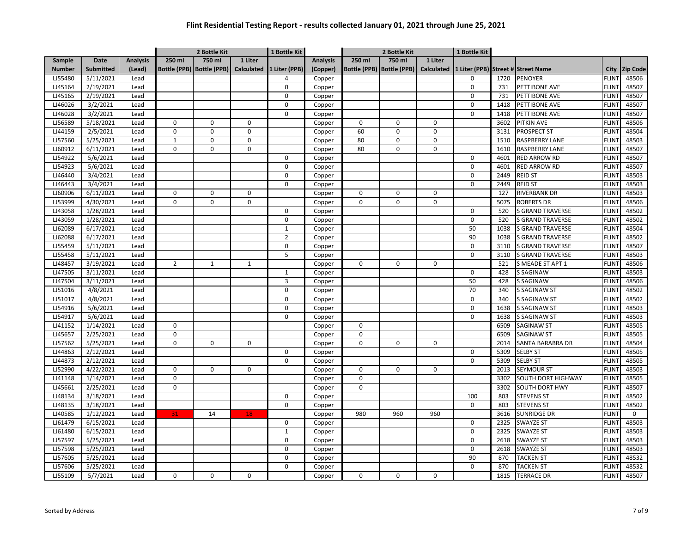|               |                  |                 | 2 Bottle Kit   |                             | 1 Bottle Kit      |                |                 | 2 Bottle Kit |                             | 1 Bottle Kit      |     |      |                                    |              |                 |
|---------------|------------------|-----------------|----------------|-----------------------------|-------------------|----------------|-----------------|--------------|-----------------------------|-------------------|-----|------|------------------------------------|--------------|-----------------|
| Sample        | Date             | <b>Analysis</b> | 250 ml         | 750 ml                      | 1 Liter           |                | <b>Analysis</b> | 250 ml       | 750 ml                      | 1 Liter           |     |      |                                    |              |                 |
| <b>Number</b> | <b>Submitted</b> | (Lead)          |                | Bottle (PPB)   Bottle (PPB) | <b>Calculated</b> | 1 Liter (PPB)  | (Copper)        |              | Bottle (PPB)   Bottle (PPB) | <b>Calculated</b> |     |      | 1 Liter (PPB) Street # Street Name | City         | <b>Zip Code</b> |
| LJ55480       | 5/11/2021        | Lead            |                |                             |                   | 4              | Copper          |              |                             |                   | 0   | 1720 | <b>PENOYER</b>                     | <b>FLINT</b> | 48506           |
| LJ45164       | 2/19/2021        | Lead            |                |                             |                   | $\mathbf 0$    | Copper          |              |                             |                   | 0   | 731  | PETTIBONE AVE                      | <b>FLINT</b> | 48507           |
| LJ45165       | 2/19/2021        | Lead            |                |                             |                   | $\mathbf 0$    | Copper          |              |                             |                   | 0   | 731  | PETTIBONE AVE                      | <b>FLINT</b> | 48507           |
| LJ46026       | 3/2/2021         | Lead            |                |                             |                   | $\Omega$       | Copper          |              |                             |                   | 0   | 1418 | <b>PETTIBONE AVE</b>               | <b>FLINT</b> | 48507           |
| LJ46028       | 3/2/2021         | Lead            |                |                             |                   | $\Omega$       | Copper          |              |                             |                   | 0   | 1418 | PETTIBONE AVE                      | <b>FLINT</b> | 48507           |
| LJ56589       | 5/18/2021        | Lead            | $\mathbf 0$    | $\Omega$                    | $\mathbf 0$       |                | Copper          | $\mathbf 0$  | $\Omega$                    | $\mathbf 0$       |     | 3602 | <b>PITKIN AVE</b>                  | <b>FLINT</b> | 48506           |
| LJ44159       | 2/5/2021         | Lead            | 0              | $\Omega$                    | $\Omega$          |                | Copper          | 60           | $\Omega$                    | $\mathsf 0$       |     | 3131 | <b>PROSPECT ST</b>                 | <b>FLINT</b> | 48504           |
| LJ57560       | 5/25/2021        | Lead            | $\mathbf{1}$   | 0                           | 0                 |                | Copper          | 80           | 0                           | $\mathbf 0$       |     | 1510 | <b>RASPBERRY LANE</b>              | <b>FLINT</b> | 48503           |
| LJ60912       | 6/11/2021        | Lead            | $\Omega$       | $\Omega$                    | $\Omega$          |                | Copper          | 80           | $\Omega$                    | $\Omega$          |     | 1610 | RASPBERRY LANE                     | <b>FLINT</b> | 48507           |
| LJ54922       | 5/6/2021         | Lead            |                |                             |                   | $\mathbf 0$    | Copper          |              |                             |                   | 0   | 4601 | <b>RED ARROW RD</b>                | <b>FLINT</b> | 48507           |
| LJ54923       | 5/6/2021         | Lead            |                |                             |                   | 0              | Copper          |              |                             |                   | 0   | 4601 | <b>RED ARROW RD</b>                | <b>FLINT</b> | 48507           |
| LJ46440       | 3/4/2021         | Lead            |                |                             |                   | $\mathbf 0$    | Copper          |              |                             |                   | 0   | 2449 | <b>REID ST</b>                     | <b>FLINT</b> | 48503           |
| LJ46443       | 3/4/2021         | Lead            |                |                             |                   | 0              | Copper          |              |                             |                   | 0   | 2449 | <b>REID ST</b>                     | <b>FLINT</b> | 48503           |
| LJ60906       | 6/11/2021        | Lead            | $\mathbf 0$    | 0                           | $\mathbf 0$       |                | Copper          | $\mathbf 0$  | 0                           | 0                 |     | 127  | <b>RIVERBANK DR</b>                | <b>FLINT</b> | 48503           |
| LJ53999       | 4/30/2021        | Lead            | 0              | $\Omega$                    | $\Omega$          |                | Copper          | 0            | 0                           | $\mathbf 0$       |     | 5075 | <b>ROBERTS DR</b>                  | <b>FLINT</b> | 48506           |
| LJ43058       | 1/28/2021        | Lead            |                |                             |                   | $\mathbf 0$    | Copper          |              |                             |                   | 0   | 520  | <b>S GRAND TRAVERSE</b>            | <b>FLINT</b> | 48502           |
| LJ43059       | 1/28/2021        | Lead            |                |                             |                   | $\mathbf 0$    | Copper          |              |                             |                   | 0   | 520  | <b>S GRAND TRAVERSE</b>            | <b>FLINT</b> | 48502           |
| LJ62089       | 6/17/2021        | Lead            |                |                             |                   | $\mathbf 1$    | Copper          |              |                             |                   | 50  | 1038 | <b>S GRAND TRAVERSE</b>            | <b>FLINT</b> | 48504           |
| LJ62088       | 6/17/2021        | Lead            |                |                             |                   | $\overline{2}$ | Copper          |              |                             |                   | 90  | 1038 | <b>S GRAND TRAVERSE</b>            | <b>FLINT</b> | 48502           |
| LJ55459       | 5/11/2021        | Lead            |                |                             |                   | $\pmb{0}$      | Copper          |              |                             |                   | 0   | 3110 | S GRAND TRAVERSE                   | <b>FLINT</b> | 48507           |
| LJ55458       | 5/11/2021        | Lead            |                |                             |                   | 5              | Copper          |              |                             |                   | 0   | 3110 | <b>S GRAND TRAVERSE</b>            | <b>FLINT</b> | 48503           |
| LJ48457       | 3/19/2021        | Lead            | $\overline{2}$ | $\mathbf{1}$                | $\mathbf{1}$      |                | Copper          | 0            | 0                           | $\mathbf 0$       |     | 521  | S MEADE ST APT 1                   | <b>FLINT</b> | 48506           |
| LJ47505       | 3/11/2021        | Lead            |                |                             |                   | $\mathbf{1}$   | Copper          |              |                             |                   | 0   | 428  | <b>S SAGINAW</b>                   | <b>FLINT</b> | 48503           |
| LJ47504       | 3/11/2021        | Lead            |                |                             |                   | 3              | Copper          |              |                             |                   | 50  | 428  | <b>S SAGINAW</b>                   | <b>FLINT</b> | 48506           |
| LJ51016       | 4/8/2021         | Lead            |                |                             |                   | $\mathbf 0$    | Copper          |              |                             |                   | 70  | 340  | <b>S SAGINAW ST</b>                | <b>FLINT</b> | 48502           |
| LJ51017       | 4/8/2021         | Lead            |                |                             |                   | $\Omega$       | Copper          |              |                             |                   | 0   | 340  | <b>S SAGINAW ST</b>                | <b>FLINT</b> | 48502           |
| LJ54916       | 5/6/2021         | Lead            |                |                             |                   | $\mathbf 0$    | Copper          |              |                             |                   | 0   | 1638 | <b>S SAGINAW ST</b>                | <b>FLINT</b> | 48503           |
| LJ54917       | 5/6/2021         | Lead            |                |                             |                   | $\Omega$       | Copper          |              |                             |                   | 0   | 1638 | <b>S SAGINAW ST</b>                | <b>FLINT</b> | 48503           |
| LJ41152       | 1/14/2021        | Lead            | 0              |                             |                   |                | Copper          | 0            |                             |                   |     | 6509 | <b>SAGINAW ST</b>                  | <b>FLINT</b> | 48505           |
| LJ45657       | 2/25/2021        | Lead            | $\pmb{0}$      |                             |                   |                | Copper          | $\mathbf 0$  |                             |                   |     | 6509 | <b>SAGINAW ST</b>                  | <b>FLINT</b> | 48505           |
| LJ57562       | 5/25/2021        | Lead            | $\mathbf 0$    | $\mathbf 0$                 | $\mathbf 0$       |                | Copper          | $\mathbf 0$  | $\mathbf 0$                 | $\mathbf 0$       |     | 2014 | SANTA BARABRA DR                   | <b>FLINT</b> | 48504           |
| LJ44863       | 2/12/2021        | Lead            |                |                             |                   | 0              | Copper          |              |                             |                   | 0   | 5309 | <b>SELBY ST</b>                    | <b>FLINT</b> | 48505           |
| LJ44873       | 2/12/2021        | Lead            |                |                             |                   | $\pmb{0}$      | Copper          |              |                             |                   | 0   | 5309 | <b>SELBY ST</b>                    | <b>FLINT</b> | 48505           |
| LJ52990       | 4/22/2021        | Lead            | $\mathbf 0$    | 0                           | $\mathbf 0$       |                | Copper          | $\mathbf 0$  | 0                           | $\mathbf 0$       |     | 2013 | SEYMOUR ST                         | <b>FLINT</b> | 48503           |
| LJ41148       | 1/14/2021        | Lead            | $\pmb{0}$      |                             |                   |                | Copper          | 0            |                             |                   |     | 3302 | SOUTH DORT HIGHWAY                 | <b>FLINT</b> | 48505           |
| LJ45661       | 2/25/2021        | Lead            | 0              |                             |                   |                | Copper          | $\mathbf 0$  |                             |                   |     | 3302 | <b>SOUTH DORT HWY</b>              | <b>FLINT</b> | 48507           |
| LJ48134       | 3/18/2021        | Lead            |                |                             |                   | $\pmb{0}$      | Copper          |              |                             |                   | 100 | 803  | <b>STEVENS ST</b>                  | <b>FLINT</b> | 48502           |
| LJ48135       | 3/18/2021        | Lead            |                |                             |                   | $\mathbf 0$    | Copper          |              |                             |                   | 0   | 803  | <b>STEVENS ST</b>                  | <b>FLINT</b> | 48502           |
| LJ40585       | 1/12/2021        | Lead            | 31             | 14                          | 18                |                | Copper          | 980          | 960                         | 960               |     | 3616 | SUNRIDGE DR                        | <b>FLINT</b> | 0               |
| LJ61479       | 6/15/2021        | Lead            |                |                             |                   | $\mathbf 0$    | Copper          |              |                             |                   | 0   | 2325 | SWAYZE ST                          | <b>FLINT</b> | 48503           |
| LJ61480       | 6/15/2021        | Lead            |                |                             |                   | $\mathbf{1}$   | Copper          |              |                             |                   | 0   | 2325 | <b>SWAYZE ST</b>                   | <b>FLINT</b> | 48503           |
| LJ57597       | 5/25/2021        | Lead            |                |                             |                   | $\mathbf 0$    | Copper          |              |                             |                   | 0   | 2618 | SWAYZE ST                          | <b>FLINT</b> | 48503           |
| LJ57598       | 5/25/2021        | Lead            |                |                             |                   | $\Omega$       | Copper          |              |                             |                   | 0   | 2618 | <b>SWAYZE ST</b>                   | <b>FLINT</b> | 48503           |
| LJ57605       | 5/25/2021        | Lead            |                |                             |                   | $\mathbf 0$    | Copper          |              |                             |                   | 90  | 870  | <b>TACKEN ST</b>                   | <b>FLINT</b> | 48532           |
| LJ57606       | 5/25/2021        | Lead            |                |                             |                   | $\Omega$       | Copper          |              |                             |                   | 0   | 870  | <b>TACKEN ST</b>                   | <b>FLINT</b> | 48532           |
| LJ55109       | 5/7/2021         | Lead            | 0              | 0                           | 0                 |                | Copper          | 0            | 0                           | $\mathbf 0$       |     | 1815 | <b>TERRACE DR</b>                  | <b>FLINT</b> | 48507           |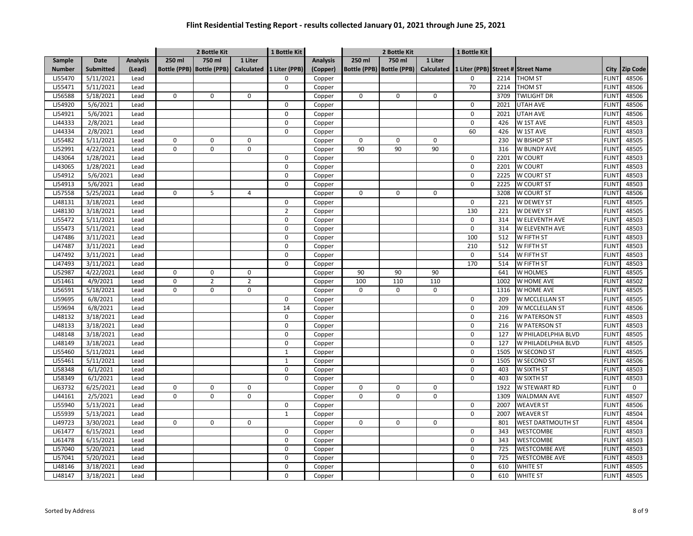|               |                  |                 |             | 2 Bottle Kit                |                   | 1 Bottle Kit   |                 |             | 2 Bottle Kit                |                   | 1 Bottle Kit |      |                                    |              |                 |
|---------------|------------------|-----------------|-------------|-----------------------------|-------------------|----------------|-----------------|-------------|-----------------------------|-------------------|--------------|------|------------------------------------|--------------|-----------------|
| Sample        | Date             | <b>Analysis</b> | 250 ml      | 750 ml                      | 1 Liter           |                | <b>Analysis</b> | 250 ml      | 750 ml                      | 1 Liter           |              |      |                                    |              |                 |
| <b>Number</b> | <b>Submitted</b> | (Lead)          |             | Bottle (PPB)   Bottle (PPB) | <b>Calculated</b> | 1 Liter (PPB)  | (Copper)        |             | Bottle (PPB)   Bottle (PPB) | <b>Calculated</b> |              |      | 1 Liter (PPB) Street # Street Name | City         | <b>Zip Code</b> |
| LJ55470       | 5/11/2021        | Lead            |             |                             |                   | $\mathbf 0$    | Copper          |             |                             |                   | 0            | 2214 | <b>THOM ST</b>                     | <b>FLINT</b> | 48506           |
| LJ55471       | 5/11/2021        | Lead            |             |                             |                   | $\mathbf 0$    | Copper          |             |                             |                   | 70           | 2214 | <b>THOM ST</b>                     | <b>FLINT</b> | 48506           |
| LJ56588       | 5/18/2021        | Lead            | $\pmb{0}$   | 0                           | 0                 |                | Copper          | $\mathbf 0$ | 0                           | $\mathbf 0$       |              | 3709 | <b>TWILIGHT DR</b>                 | <b>FLINT</b> | 48506           |
| LJ54920       | 5/6/2021         | Lead            |             |                             |                   | $\mathbf 0$    | Copper          |             |                             |                   | 0            | 2021 | <b>UTAH AVE</b>                    | <b>FLINT</b> | 48506           |
| LJ54921       | 5/6/2021         | Lead            |             |                             |                   | $\mathbf 0$    | Copper          |             |                             |                   | 0            | 2021 | <b>UTAH AVE</b>                    | <b>FLINT</b> | 48506           |
| LJ44333       | 2/8/2021         | Lead            |             |                             |                   | $\mathbf 0$    | Copper          |             |                             |                   | 0            | 426  | W 1ST AVE                          | <b>FLINT</b> | 48503           |
| LJ44334       | 2/8/2021         | Lead            |             |                             |                   | $\pmb{0}$      | Copper          |             |                             |                   | 60           | 426  | W 1ST AVE                          | <b>FLINT</b> | 48503           |
| LJ55482       | 5/11/2021        | Lead            | 0           | 0                           | $\mathbf 0$       |                | Copper          | $\mathbf 0$ | 0                           | $\mathbf 0$       |              | 230  | W BISHOP ST                        | <b>FLINT</b> | 48505           |
| LJ52991       | 4/22/2021        | Lead            | $\Omega$    | $\Omega$                    | $\Omega$          |                | Copper          | 90          | 90                          | 90                |              | 316  | W BUNDY AVE                        | <b>FLINT</b> | 48505           |
| LJ43064       | 1/28/2021        | Lead            |             |                             |                   | $\mathbf 0$    | Copper          |             |                             |                   | 0            | 2201 | <b>W COURT</b>                     | <b>FLINT</b> | 48503           |
| LJ43065       | 1/28/2021        | Lead            |             |                             |                   | 0              | Copper          |             |                             |                   | 0            | 2201 | <b>W COURT</b>                     | <b>FLINT</b> | 48503           |
| LJ54912       | 5/6/2021         | Lead            |             |                             |                   | $\mathbf 0$    | Copper          |             |                             |                   | 0            | 2225 | W COURT ST                         | <b>FLINT</b> | 48503           |
| LJ54913       | 5/6/2021         | Lead            |             |                             |                   | 0              | Copper          |             |                             |                   | 0            | 2225 | W COURT ST                         | <b>FLINT</b> | 48503           |
| LJ57558       | 5/25/2021        | Lead            | $\mathbf 0$ | 5                           | $\overline{4}$    |                | Copper          | $\mathbf 0$ | 0                           | $\mathbf 0$       |              | 3208 | <b>W COURT ST</b>                  | <b>FLINT</b> | 48506           |
| LJ48131       | 3/18/2021        | Lead            |             |                             |                   | 0              | Copper          |             |                             |                   | 0            | 221  | W DEWEY ST                         | <b>FLINT</b> | 48505           |
| LJ48130       | 3/18/2021        | Lead            |             |                             |                   | $\overline{2}$ | Copper          |             |                             |                   | 130          | 221  | W DEWEY ST                         | <b>FLINT</b> | 48505           |
| LJ55472       | 5/11/2021        | Lead            |             |                             |                   | $\mathbf 0$    | Copper          |             |                             |                   | 0            | 314  | W ELEVENTH AVE                     | <b>FLINT</b> | 48503           |
| LJ55473       | 5/11/2021        | Lead            |             |                             |                   | 0              | Copper          |             |                             |                   | 0            | 314  | W ELEVENTH AVE                     | <b>FLINT</b> | 48503           |
| LJ47486       | 3/11/2021        | Lead            |             |                             |                   | $\mathbf 0$    | Copper          |             |                             |                   | 100          | 512  | W FIFTH ST                         | <b>FLINT</b> | 48503           |
| LJ47487       | 3/11/2021        | Lead            |             |                             |                   | $\pmb{0}$      | Copper          |             |                             |                   | 210          | 512  | W FIFTH ST                         | <b>FLINT</b> | 48503           |
| LJ47492       | 3/11/2021        | Lead            |             |                             |                   | $\mathbf 0$    | Copper          |             |                             |                   | 0            | 514  | W FIFTH ST                         | <b>FLINT</b> | 48503           |
| LJ47493       | 3/11/2021        | Lead            |             |                             |                   | $\pmb{0}$      | Copper          |             |                             |                   | 170          | 514  | W FIFTH ST                         | <b>FLINT</b> | 48503           |
| LJ52987       | 4/22/2021        | Lead            | $\mathbf 0$ | 0                           | $\mathbf 0$       |                | Copper          | 90          | 90                          | 90                |              | 641  | W HOLMES                           | <b>FLINT</b> | 48505           |
| LJ51461       | 4/9/2021         | Lead            | 0           | $\overline{2}$              | $\overline{2}$    |                | Copper          | 100         | 110                         | 110               |              | 1002 | W HOME AVE                         | <b>FLINT</b> | 48502           |
| LJ56591       | 5/18/2021        | Lead            | 0           | 0                           | $\mathbf 0$       |                | Copper          | $\mathbf 0$ | $\Omega$                    | $\mathbf 0$       |              | 1316 | W HOME AVE                         | <b>FLINT</b> | 48505           |
| LJ59695       | 6/8/2021         | Lead            |             |                             |                   | $\Omega$       | Copper          |             |                             |                   | 0            | 209  | W MCCLELLAN ST                     | <b>FLINT</b> | 48505           |
| LJ59694       | 6/8/2021         | Lead            |             |                             |                   | 14             | Copper          |             |                             |                   | 0            | 209  | W MCCLELLAN ST                     | <b>FLINT</b> | 48506           |
| LJ48132       | 3/18/2021        | Lead            |             |                             |                   | 0              | Copper          |             |                             |                   | 0            | 216  | W PATERSON ST                      | <b>FLINT</b> | 48503           |
| LJ48133       | 3/18/2021        | Lead            |             |                             |                   | $\mathbf 0$    | Copper          |             |                             |                   | 0            | 216  | <b>W PATERSON ST</b>               | <b>FLINT</b> | 48503           |
| LJ48148       | 3/18/2021        | Lead            |             |                             |                   | 0              | Copper          |             |                             |                   | 0            | 127  | W PHILADELPHIA BLVD                | <b>FLINT</b> | 48505           |
| LJ48149       | 3/18/2021        | Lead            |             |                             |                   | 0              | Copper          |             |                             |                   | 0            | 127  | W PHILADELPHIA BLVD                | <b>FLINT</b> | 48505           |
| LJ55460       | 5/11/2021        | Lead            |             |                             |                   | $\mathbf{1}$   | Copper          |             |                             |                   | 0            | 1505 | <b>W SECOND ST</b>                 | <b>FLINT</b> | 48505           |
| LJ55461       | 5/11/2021        | Lead            |             |                             |                   | $\mathbf 1$    | Copper          |             |                             |                   | 0            | 1505 | W SECOND ST                        | <b>FLINT</b> | 48506           |
| LJ58348       | 6/1/2021         | Lead            |             |                             |                   | 0              | Copper          |             |                             |                   | 0            | 403  | W SIXTH ST                         | <b>FLINT</b> | 48503           |
| LJ58349       | 6/1/2021         | Lead            |             |                             |                   | 0              | Copper          |             |                             |                   | $\Omega$     | 403  | W SIXTH ST                         | <b>FLINT</b> | 48503           |
| LJ63732       | 6/25/2021        | Lead            | 0           | 0                           | $\mathbf 0$       |                | Copper          | 0           | 0                           | 0                 |              | 1922 | W STEWART RD                       | <b>FLINT</b> | 0               |
| LJ44161       | 2/5/2021         | Lead            | 0           | $\Omega$                    | $\mathbf 0$       |                | Copper          | $\Omega$    | $\Omega$                    | $\mathsf 0$       |              | 1309 | <b>WALDMAN AVE</b>                 | <b>FLINT</b> | 48507           |
| LJ55940       | 5/13/2021        | Lead            |             |                             |                   | $\mathbf 0$    | Copper          |             |                             |                   | $\mathsf{o}$ | 2007 | <b>WEAVER ST</b>                   | <b>FLINT</b> | 48506           |
| LJ55939       | 5/13/2021        | Lead            |             |                             |                   | $\mathbf{1}$   | Copper          |             |                             |                   | 0            | 2007 | <b>WEAVER ST</b>                   | <b>FLINT</b> | 48504           |
| LJ49723       | 3/30/2021        | Lead            | 0           | 0                           | $\mathbf 0$       |                | Copper          | $\mathbf 0$ | 0                           | $\mathbf 0$       |              | 801  | <b>WEST DARTMOUTH ST</b>           | <b>FLINT</b> | 48504           |
| LJ61477       | 6/15/2021        | Lead            |             |                             |                   | $\mathbf 0$    | Copper          |             |                             |                   | 0            | 343  | WESTCOMBE                          | <b>FLINT</b> | 48503           |
| LJ61478       | 6/15/2021        | Lead            |             |                             |                   | $\mathbf 0$    | Copper          |             |                             |                   | 0            | 343  | WESTCOMBE                          | <b>FLINT</b> | 48503           |
| LJ57040       | 5/20/2021        | Lead            |             |                             |                   | $\Omega$       | Copper          |             |                             |                   | 0            | 725  | <b>WESTCOMBE AVE</b>               | <b>FLINT</b> | 48503           |
| LJ57041       | 5/20/2021        | Lead            |             |                             |                   | $\mathbf 0$    | Copper          |             |                             |                   | 0            | 725  | WESTCOMBE AVE                      | <b>FLINT</b> | 48503           |
| LJ48146       | 3/18/2021        | Lead            |             |                             |                   | $\Omega$       | Copper          |             |                             |                   | 0            | 610  | <b>WHITE ST</b>                    | <b>FLINT</b> | 48505           |
| LJ48147       | 3/18/2021        | Lead            |             |                             |                   | $\Omega$       | Copper          |             |                             |                   | 0            | 610  | <b>WHITE ST</b>                    | <b>FLINT</b> | 48505           |